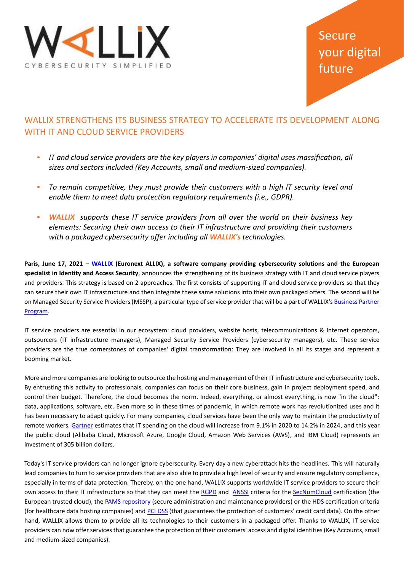

Secure your digital future

# WALLIX STRENGTHENS ITS BUSINESS STRATEGY TO ACCELERATE ITS DEVELOPMENT ALONG WITH IT AND CLOUD SERVICE PROVIDERS

- *IT and cloud service providers are the key players in companies' digital uses massification, all sizes and sectors included (Key Accounts, small and medium-sized companies).*
- *To remain competitive, they must provide their customers with a high IT security level and enable them to meet data protection regulatory requirements (i.e., GDPR).*
- *WALLIX supports these IT service providers from all over the world on their business key elements: Securing their own access to their IT infrastructure and providing their customers with a packaged cybersecurity offer including all WALLIX's technologies.*

**Paris, June 17, 2021** – **[WALLIX](https://www.wallix.com/) (Euronext ALLIX), a software company providing cybersecurity solutions and the European specialist in Identity and Access Security**, announces the strengthening of its business strategy with IT and cloud service players and providers. This strategy is based on 2 approaches. The first consists of supporting IT and cloud service providers so that they can secure their own IT infrastructure and then integrate these same solutions into their own packaged offers. The second will be on Managed Security Service Providers (MSSP), a particular type of service provider that will be a part of WALLIX's Business Partner [Program.](https://www.wallix.com/news/wallix-appoints-kristine-kirchner-vp-channel-emea)

IT service providers are essential in our ecosystem: cloud providers, website hosts, telecommunications & Internet operators, outsourcers (IT infrastructure managers), Managed Security Service Providers (cybersecurity managers), etc. These service providers are the true cornerstones of companies' digital transformation: They are involved in all its stages and represent a booming market.

More and more companies are looking to outsource the hosting and management of their IT infrastructure and cybersecurity tools. By entrusting this activity to professionals, companies can focus on their core business, gain in project deployment speed, and control their budget. Therefore, the cloud becomes the norm. Indeed, everything, or almost everything, is now "in the cloud": data, applications, software, etc. Even more so in these times of pandemic, in which remote work has revolutionized uses and it has been necessary to adapt quickly. For many companies, cloud services have been the only way to maintain the productivity of remote workers. [Gartner](https://www.gartner.com/en/newsroom/press-releases/2020-11-17-gartner-forecasts-worldwide-public-cloud-end-user-spending-to-grow-18-percent-in%20-2021) estimates that IT spending on the cloud will increase from 9.1% in 2020 to 14.2% in 2024, and this year the public cloud (Alibaba Cloud, Microsoft Azure, Google Cloud, Amazon Web Services (AWS), and IBM Cloud) represents an investment of 305 billion dollars.

Today's IT service providers can no longer ignore cybersecurity. Every day a new cyberattack hits the headlines. This will naturally lead companies to turn to service providers that are also able to provide a high level of security and ensure regulatory compliance, especially in terms of data protection. Thereby, on the one hand, WALLIX supports worldwide IT service providers to secure their own access to their IT infrastructure so that they can meet the [RGPD](https://www.cnil.fr/fr/reglement-europeen-protection-donnees) and [ANSSI](https://www.ssi.gouv.fr/) criteria for the [SecNumCloud](https://www.ssi.gouv.fr/administration/qualifications/prestataires-de-services-de-confiance-qualifies/prestataires-de-service-dinformatique-en-nuage-secnumcloud/) certification (the European trusted cloud), the [PAMS repository](https://www.ssi.gouv.fr/actualite/securite-et-infogerance-du-nouveau-pour-le-futur-referentiel-pams-de-lanssi/) (secure administration and maintenance providers) or the [HDS](https://esante.gouv.fr/labels-certifications/hds/certification-des-hebergeurs-de-donnees-de-sante) certification criteria (for healthcare data hosting companies) and [PCI DSS](https://fr.pcisecuritystandards.org/minisite/env2/) (that guarantees the protection of customers' credit card data). On the other hand, WALLIX allows them to provide all its technologies to their customers in a packaged offer. Thanks to WALLIX, IT service providers can now offer services that guarantee the protection of their customers' access and digital identities (Key Accounts, small and medium-sized companies).